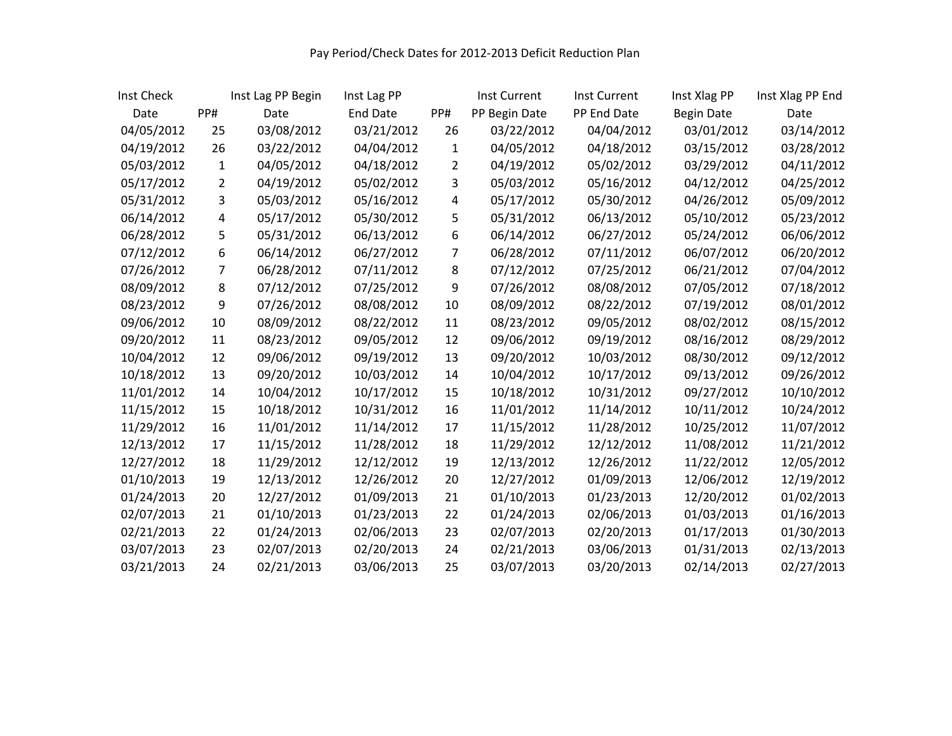| Inst Check |     | Inst Lag PP Begin | Inst Lag PP |     | Inst Current  | <b>Inst Current</b> | Inst Xlag PP      | Inst Xlag PP End |
|------------|-----|-------------------|-------------|-----|---------------|---------------------|-------------------|------------------|
| Date       | PP# | Date              | End Date    | PP# | PP Begin Date | PP End Date         | <b>Begin Date</b> | Date             |
| 04/05/2012 | 25  | 03/08/2012        | 03/21/2012  | 26  | 03/22/2012    | 04/04/2012          | 03/01/2012        | 03/14/2012       |
| 04/19/2012 | 26  | 03/22/2012        | 04/04/2012  | 1   | 04/05/2012    | 04/18/2012          | 03/15/2012        | 03/28/2012       |
| 05/03/2012 | 1   | 04/05/2012        | 04/18/2012  | 2   | 04/19/2012    | 05/02/2012          | 03/29/2012        | 04/11/2012       |
| 05/17/2012 | 2   | 04/19/2012        | 05/02/2012  | 3   | 05/03/2012    | 05/16/2012          | 04/12/2012        | 04/25/2012       |
| 05/31/2012 | 3   | 05/03/2012        | 05/16/2012  | 4   | 05/17/2012    | 05/30/2012          | 04/26/2012        | 05/09/2012       |
| 06/14/2012 | 4   | 05/17/2012        | 05/30/2012  | 5   | 05/31/2012    | 06/13/2012          | 05/10/2012        | 05/23/2012       |
| 06/28/2012 | 5   | 05/31/2012        | 06/13/2012  | 6   | 06/14/2012    | 06/27/2012          | 05/24/2012        | 06/06/2012       |
| 07/12/2012 | 6   | 06/14/2012        | 06/27/2012  | 7   | 06/28/2012    | 07/11/2012          | 06/07/2012        | 06/20/2012       |
| 07/26/2012 | 7   | 06/28/2012        | 07/11/2012  | 8   | 07/12/2012    | 07/25/2012          | 06/21/2012        | 07/04/2012       |
| 08/09/2012 | 8   | 07/12/2012        | 07/25/2012  | 9   | 07/26/2012    | 08/08/2012          | 07/05/2012        | 07/18/2012       |
| 08/23/2012 | 9   | 07/26/2012        | 08/08/2012  | 10  | 08/09/2012    | 08/22/2012          | 07/19/2012        | 08/01/2012       |
| 09/06/2012 | 10  | 08/09/2012        | 08/22/2012  | 11  | 08/23/2012    | 09/05/2012          | 08/02/2012        | 08/15/2012       |
| 09/20/2012 | 11  | 08/23/2012        | 09/05/2012  | 12  | 09/06/2012    | 09/19/2012          | 08/16/2012        | 08/29/2012       |
| 10/04/2012 | 12  | 09/06/2012        | 09/19/2012  | 13  | 09/20/2012    | 10/03/2012          | 08/30/2012        | 09/12/2012       |
| 10/18/2012 | 13  | 09/20/2012        | 10/03/2012  | 14  | 10/04/2012    | 10/17/2012          | 09/13/2012        | 09/26/2012       |
| 11/01/2012 | 14  | 10/04/2012        | 10/17/2012  | 15  | 10/18/2012    | 10/31/2012          | 09/27/2012        | 10/10/2012       |
| 11/15/2012 | 15  | 10/18/2012        | 10/31/2012  | 16  | 11/01/2012    | 11/14/2012          | 10/11/2012        | 10/24/2012       |
| 11/29/2012 | 16  | 11/01/2012        | 11/14/2012  | 17  | 11/15/2012    | 11/28/2012          | 10/25/2012        | 11/07/2012       |
| 12/13/2012 | 17  | 11/15/2012        | 11/28/2012  | 18  | 11/29/2012    | 12/12/2012          | 11/08/2012        | 11/21/2012       |
| 12/27/2012 | 18  | 11/29/2012        | 12/12/2012  | 19  | 12/13/2012    | 12/26/2012          | 11/22/2012        | 12/05/2012       |
| 01/10/2013 | 19  | 12/13/2012        | 12/26/2012  | 20  | 12/27/2012    | 01/09/2013          | 12/06/2012        | 12/19/2012       |
| 01/24/2013 | 20  | 12/27/2012        | 01/09/2013  | 21  | 01/10/2013    | 01/23/2013          | 12/20/2012        | 01/02/2013       |
| 02/07/2013 | 21  | 01/10/2013        | 01/23/2013  | 22  | 01/24/2013    | 02/06/2013          | 01/03/2013        | 01/16/2013       |
| 02/21/2013 | 22  | 01/24/2013        | 02/06/2013  | 23  | 02/07/2013    | 02/20/2013          | 01/17/2013        | 01/30/2013       |
| 03/07/2013 | 23  | 02/07/2013        | 02/20/2013  | 24  | 02/21/2013    | 03/06/2013          | 01/31/2013        | 02/13/2013       |
| 03/21/2013 | 24  | 02/21/2013        | 03/06/2013  | 25  | 03/07/2013    | 03/20/2013          | 02/14/2013        | 02/27/2013       |